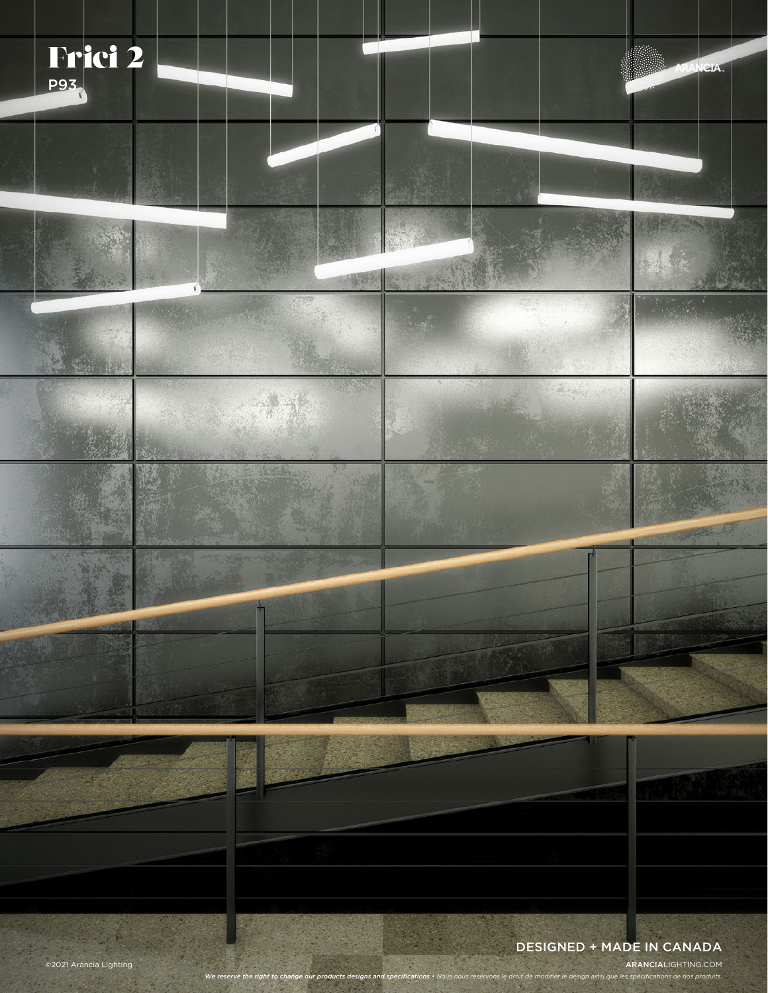

©2021 Arancia Lighting ARANCIALIGHTING.COM

*We reserve the right to change our products designs and specifications • Nous nous réservons le droit de modifier le design ainsi que les spécifications de nos produits.*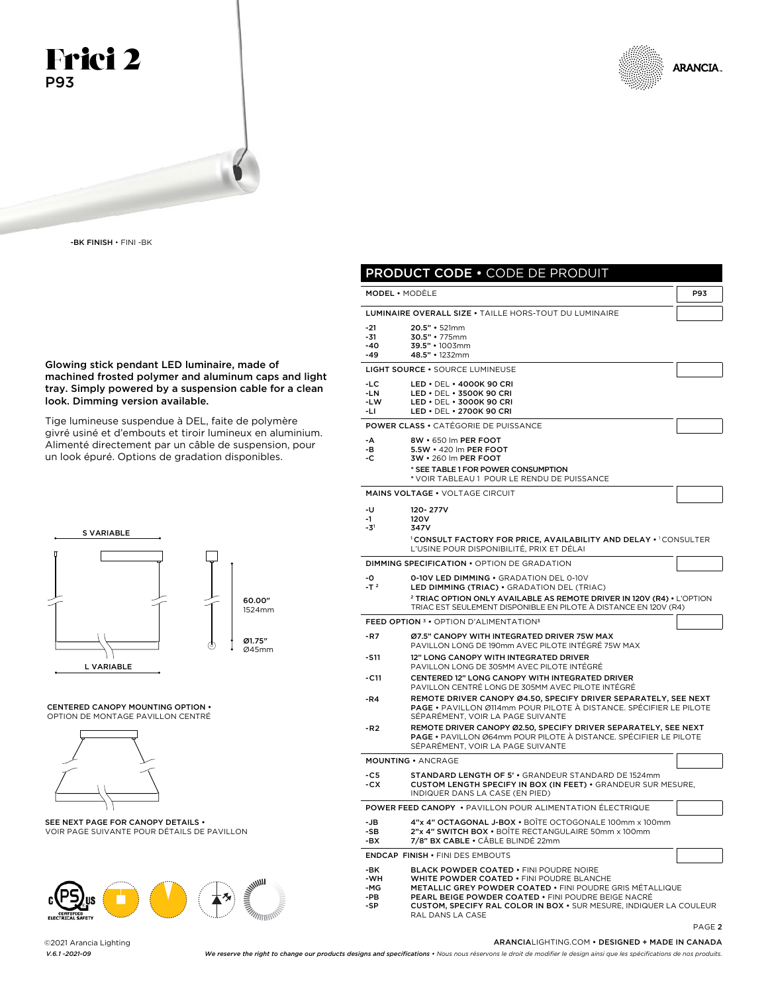

-BK FINISH • FINI -BK

Glowing stick pendant LED luminaire, made of machined frosted polymer and aluminum caps and light tray. Simply powered by a suspension cable for a clean look. Dimming version available.

Tige lumineuse suspendue à DEL, faite de polymère givré usiné et d'embouts et tiroir lumineux en aluminium. Alimenté directement par un câble de suspension, pour un look épuré. Options de gradation disponibles.



#### CENTERED CANOPY MOUNTING OPTION • OPTION DE MONTAGE PAVILLON CENTRÉ



SEE NEXT PAGE FOR CANOPY DETAILS • VOIR PAGE SUIVANTE POUR DÉTAILS DE PAVILLON



©2021 Arancia Lighting



|                                 | <b>PRODUCT CODE . CODE DE PRODUIT</b>                                                                                                                                                                                                                                                                                           |            |
|---------------------------------|---------------------------------------------------------------------------------------------------------------------------------------------------------------------------------------------------------------------------------------------------------------------------------------------------------------------------------|------------|
|                                 | <b>MODEL</b> • MODÈLE                                                                                                                                                                                                                                                                                                           | <b>P93</b> |
|                                 | LUMINAIRE OVERALL SIZE . TAILLE HORS-TOUT DU LUMINAIRE                                                                                                                                                                                                                                                                          |            |
| $-21$<br>$-31$<br>-40<br>-49    | 20.5" • 521mm<br>30.5" · 775mm<br>39.5" · 1003mm<br>48.5" · 1232mm                                                                                                                                                                                                                                                              |            |
|                                 | LIGHT SOURCE . SOURCE LUMINEUSE                                                                                                                                                                                                                                                                                                 |            |
| $-LC$<br>$-LN$<br>-LW<br>-LI    | LED • DEL • 4000K 90 CRI<br>LED • DEL • 3500K 90 CRI<br>LED . DEL . 3000K 90 CRI<br>LED • DEL • 2700K 90 CRI                                                                                                                                                                                                                    |            |
|                                 | <b>POWER CLASS • CATÉGORIE DE PUISSANCE</b>                                                                                                                                                                                                                                                                                     |            |
| -A<br>-в<br>-c                  | 8W • 650 lm PER FOOT<br>5.5W • 420 lm PER FOOT<br>3W • 260 Im PER FOOT<br>* SEE TABLE 1 FOR POWER CONSUMPTION<br>* VOIR TABLEAU 1 POUR LE RENDU DE PUISSANCE                                                                                                                                                                    |            |
|                                 | MAINS VOLTAGE . VOLTAGE CIRCUIT                                                                                                                                                                                                                                                                                                 |            |
| -0<br>-1<br>-31                 | 120-277V<br>120V<br>347V<br><b><i>ICONSULT FACTORY FOR PRICE. AVAILABILITY AND DELAY • ICONSULTER</i></b><br>L'USINE POUR DISPONIBILITÉ, PRIX ET DÉLAI                                                                                                                                                                          |            |
|                                 | <b>DIMMING SPECIFICATION • OPTION DE GRADATION</b>                                                                                                                                                                                                                                                                              |            |
| -0<br>$-T^2$                    | <b>0-10V LED DIMMING . GRADATION DEL 0-10V</b><br>LED DIMMING (TRIAC) . GRADATION DEL (TRIAC)                                                                                                                                                                                                                                   |            |
|                                 | <sup>2</sup> TRIAC OPTION ONLY AVAILABLE AS REMOTE DRIVER IN 120V (R4) • L'OPTION<br>TRIAC EST SEULEMENT DISPONIBLE EN PILOTE À DISTANCE EN 120V (R4)                                                                                                                                                                           |            |
|                                 | FEED OPTION <sup>3</sup> · OPTION D'ALIMENTATION <sup>3</sup>                                                                                                                                                                                                                                                                   |            |
| $-R7$                           | Ø7.5" CANOPY WITH INTEGRATED DRIVER 75W MAX<br>PAVILLON LONG DE 190mm AVEC PILOTE INTÉGRÉ 75W MAX                                                                                                                                                                                                                               |            |
| -S11                            | 12" LONG CANOPY WITH INTEGRATED DRIVER<br>PAVILLON LONG DE 305MM AVEC PILOTE INTÉGRÉ                                                                                                                                                                                                                                            |            |
| -C11                            | CENTERED 12" LONG CANOPY WITH INTEGRATED DRIVER<br>PAVILLON CENTRÉ LONG DE 305MM AVEC PILOTE INTÉGRÉ                                                                                                                                                                                                                            |            |
| -R4                             | REMOTE DRIVER CANOPY Ø4.50, SPECIFY DRIVER SEPARATELY, SEE NEXT<br><b>PAGE •</b> PAVILLON Ø114mm POUR PILOTE À DISTANCE. SPÉCIFIER LE PILOTE<br>SÉPARÉMENT, VOIR LA PAGE SUIVANTE                                                                                                                                               |            |
| -R <sub>2</sub>                 | REMOTE DRIVER CANOPY Ø2.50, SPECIFY DRIVER SEPARATELY, SEE NEXT<br><b>PAGE •</b> PAVILLON Ø64mm POUR PILOTE À DISTANCE. SPÉCIFIER LE PILOTE<br>SEPARÉMENT, VOIR LA PAGE SUIVANTE                                                                                                                                                |            |
|                                 | <b>MOUNTING · ANCRAGE</b>                                                                                                                                                                                                                                                                                                       |            |
| $-C5$<br>-CX                    | STANDARD LENGTH OF 5' . GRANDEUR STANDARD DE 1524mm<br>CUSTOM LENGTH SPECIFY IN BOX (IN FEET) . GRANDEUR SUR MESURE,<br>INDIQUER DANS LA CASE (EN PIED)                                                                                                                                                                         |            |
|                                 | <b>POWER FEED CANOPY • PAVILLON POUR ALIMENTATION ÉLECTRIQUE</b>                                                                                                                                                                                                                                                                |            |
| -JB<br>-SB<br>-BX               | 4"x 4" OCTAGONAL J-BOX . BOÎTE OCTOGONALE 100mm x 100mm<br>2"x 4" SWITCH BOX . BOÎTE RECTANGULAIRE 50mm x 100mm<br>7/8" BX CABLE . CÂBLE BLINDÉ 22mm                                                                                                                                                                            |            |
|                                 | <b>ENDCAP FINISH . FINI DES EMBOUTS</b>                                                                                                                                                                                                                                                                                         |            |
| -BK<br>-WH<br>-MG<br>-PB<br>-SP | <b>BLACK POWDER COATED • FINI POUDRE NOIRE</b><br>WHITE POWDER COATED . FINI POUDRE BLANCHE<br><b>METALLIC GREY POWDER COATED • FINI POUDRE GRIS MÉTALLIQUE</b><br><b>PEARL BEIGE POWDER COATED • FINI POUDRE BEIGE NACRÉ</b><br>CUSTOM, SPECIFY RAL COLOR IN BOX . SUR MESURE, INDIQUER LA COULEUR<br><b>DAI DANS I A CASE</b> |            |

PAGE 2

#### ARANCIALIGHTING.COM • DESIGNED + MADE IN CANADA

*V.6.1 -2021-09 We reserve the right to change our products designs and specifications • Nous nous réservons le droit de modifier le design ainsi que les spécifications de nos produits.*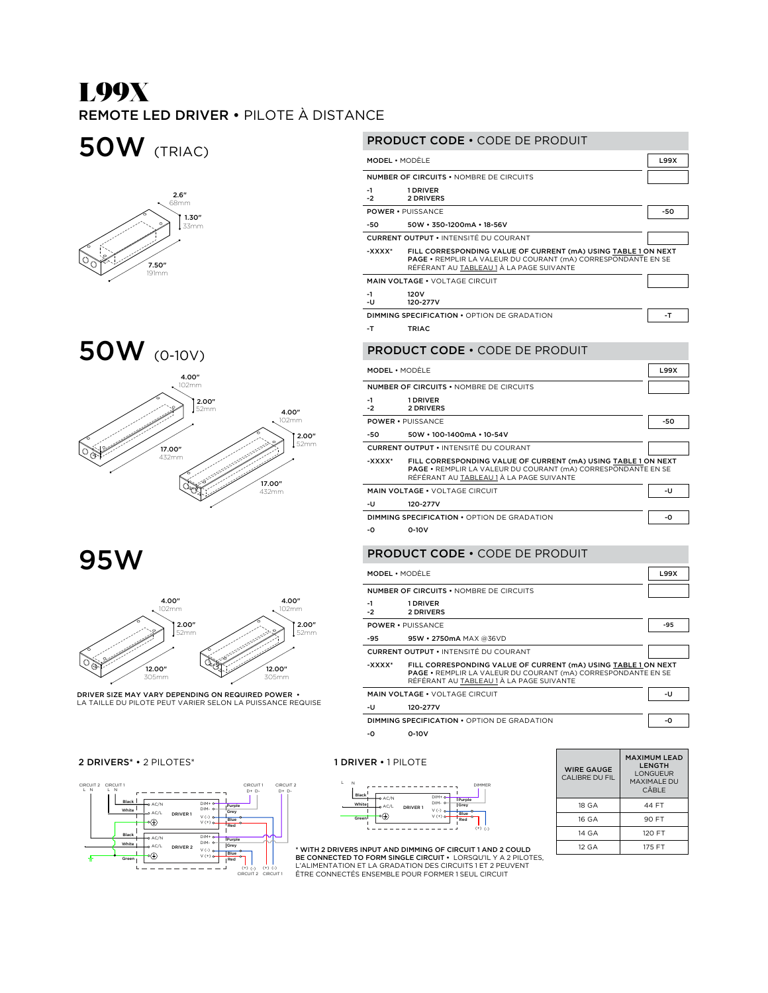# L99X REMOTE LED DRIVER • PILOTE À DISTANCE

50W (TRIAC)







95W



DRIVER SIZE MAY VARY DEPENDING ON REQUIRED POWER •<br>LA TAILLE DU PILOTE PEUT VARIER SELON LA PUISSANCE REQUISE

### 2 DRIVERS<sup>\*</sup> • 2 PILOTES<sup>\*</sup> 2 PILOTES<sup>\*</sup> 2 PILOTE



| <b>PRODUCT CODE • CODE DE PRODUIT</b>                                                                                                                                                 |                                                |             |  |  |
|---------------------------------------------------------------------------------------------------------------------------------------------------------------------------------------|------------------------------------------------|-------------|--|--|
| <b>MODEL • MODÈI F</b>                                                                                                                                                                |                                                | <b>L99X</b> |  |  |
|                                                                                                                                                                                       | <b>NUMBER OF CIRCUITS • NOMBRE DE CIRCUITS</b> |             |  |  |
| $-1$<br>$-2$                                                                                                                                                                          | 1 DRIVER<br>2 DRIVERS                          |             |  |  |
|                                                                                                                                                                                       | <b>POWER • PUISSANCE</b>                       | $-50$       |  |  |
| -50                                                                                                                                                                                   | 50W · 350-1200mA · 18-56V                      |             |  |  |
|                                                                                                                                                                                       | <b>CURRENT OUTPUT • INTENSITÉ DU COURANT</b>   |             |  |  |
| FILL CORRESPONDING VALUE OF CURRENT (mA) USING TABLE 1 ON NEXT<br>-xxxx*<br>PAGE . REMPLIR LA VALEUR DU COURANT (mA) CORRESPONDANTE EN SE<br>RÉFÉRANT AU TABLEAU 1 À LA PAGE SUIVANTE |                                                |             |  |  |
|                                                                                                                                                                                       | <b>MAIN VOLTAGE . VOLTAGE CIRCUIT</b>          |             |  |  |
| $-1$<br>-u                                                                                                                                                                            | 120V<br>120-277V                               |             |  |  |
|                                                                                                                                                                                       | DIMMING SPECIFICATION . OPTION DF GRADATION    | -T          |  |  |
| -T                                                                                                                                                                                    | TRIAC                                          |             |  |  |
| <b>PRODUCT CODE • CODE DE PRODUIT</b>                                                                                                                                                 |                                                |             |  |  |
| <b>MODEL</b> • MODÈI F                                                                                                                                                                |                                                |             |  |  |
|                                                                                                                                                                                       | MUMBER OF CIRCUITS . NOMBRE DE CIRCUITS        |             |  |  |

#### NUMBER OF CIRCUITS • NOMBRE DE CIRCUITS -1 -2 1 DRIVER 2 DRIVERS POWER • PUISSANCE -50 -50 50W • 100-1400mA • 10-54V CURRENT OUTPUT • INTENSITÉ DU COURANT -XXXX\* FILL CORRESPONDING VALUE OF CURRENT (mA) USING TABLE 1 ON NEXT PAGE • REMPLIR LA VALEUR DU COURANT (mA) CORRESPONDANTE EN SE RÉFÉRANT AU TABLEAU 1 À LA PAGE SUIVANTE MAIN VOLTAGE • VOLTAGE CIRCUIT -U -U 120-277V DIMMING SPECIFICATION • OPTION DE GRADATION - 0

-0 0-10V

### PRODUCT CODE • CODE DE PRODUIT

| <b>MODEL • MODÈI F</b> |                                                                                                                                                                                    | <b>L99X</b> |
|------------------------|------------------------------------------------------------------------------------------------------------------------------------------------------------------------------------|-------------|
|                        | NUMBER OF CIRCUITS . NOMBRE DE CIRCUITS                                                                                                                                            |             |
| $-1$<br>$-2$           | 1 DRIVER<br>2 DRIVERS                                                                                                                                                              |             |
|                        | <b>POWER • PUISSANCE</b>                                                                                                                                                           | -95         |
| -95                    | 95W • 2750mA MAX @36VD                                                                                                                                                             |             |
|                        | <b>CURRENT OUTPUT • INTENSITÉ DU COURANT</b>                                                                                                                                       |             |
| -XXXX*                 | FILL CORRESPONDING VALUE OF CURRENT (mA) USING TABLE 1 ON NEXT<br><b>PAGE • REMPLIR LA VALEUR DU COURANT (mA) CORRESPONDANTE EN SE</b><br>RÉFÉRANT AU TABLEAU 1 À LA PAGE SUIVANTE |             |
|                        | <b>MAIN VOLTAGE . VOLTAGE CIRCUIT</b>                                                                                                                                              | -U          |
| -u                     | 120-277V                                                                                                                                                                           |             |
|                        | <b>DIMMING SPECIFICATION • OPTION DE GRADATION</b>                                                                                                                                 | -0          |
| -0                     | $0-10V$                                                                                                                                                                            |             |



| <b>WIRE GAUGE</b><br>CALIBRE DU FIL | <b>MAXIMUM LEAD</b><br>LENGTH<br><b>I ONGUEUR</b><br><b>MAXIMALE DU</b><br>CÂBI F |
|-------------------------------------|-----------------------------------------------------------------------------------|
| 18 GA                               | 44 FT                                                                             |
| 16 GA                               | 90 FT                                                                             |
| 14 GA                               | 120 FT                                                                            |
| 12 GA                               | 175 FT                                                                            |

L'ALIMENTATION ET LA GRADATION DES CIRCUITS 1 ET 2 PEUVENT<br>ÊTRE CONNECTÉS ENSEMBLE POUR FORMER 1 SEUL CIRCUIT \* WITH 2 DRIVERS INPUT AND DIMMING OF CIRCUIT 1 AND 2 COULD BE CONNECTED TO FORM SINGLE CIRCUIT • LORSQU'IL Y A 2 PILOTES,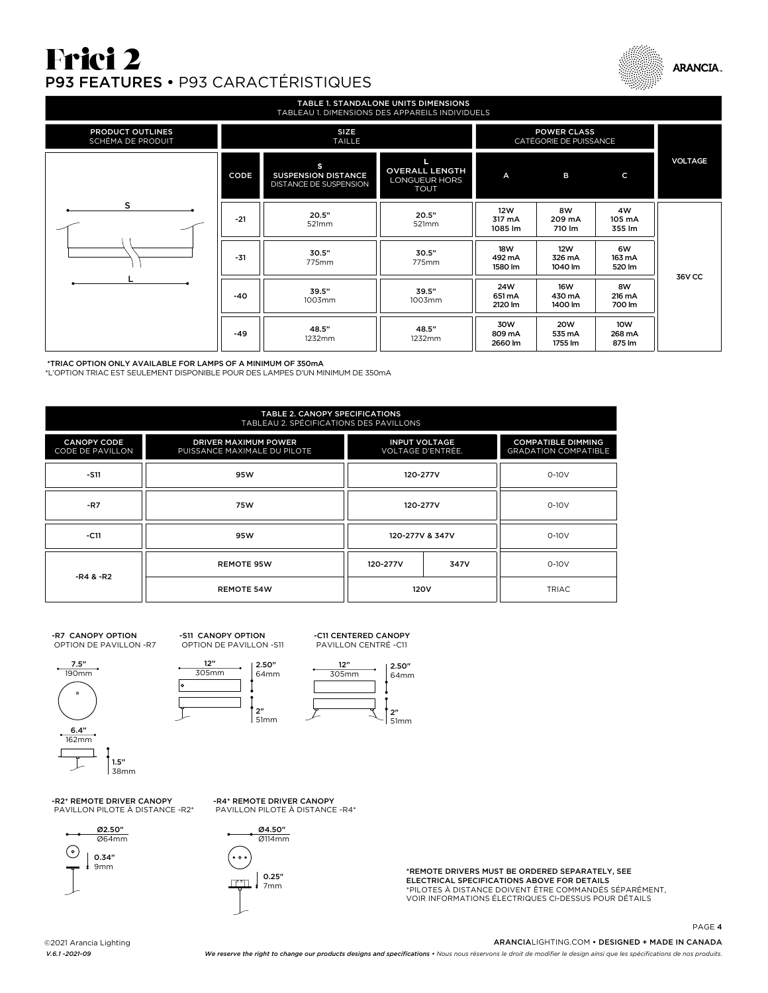# Frici 2 P93 FEATURES • P93 CARACTÉRISTIQUES



| <b>TABLE 1. STANDALONE UNITS DIMENSIONS</b><br>TABLEAU 1. DIMENSIONS DES APPAREILS INDIVIDUELS |                              |                                                           |                                                       |                                 |                                 |                         |                |
|------------------------------------------------------------------------------------------------|------------------------------|-----------------------------------------------------------|-------------------------------------------------------|---------------------------------|---------------------------------|-------------------------|----------------|
| PRODUCT OUTLINES<br>SCHÉMA DE PRODUIT                                                          | <b>SIZE</b><br><b>TAILLE</b> |                                                           | <b>POWER CLASS</b><br>CATÉGORIE DE PUISSANCE          |                                 |                                 |                         |                |
|                                                                                                | CODE                         | s<br><b>SUSPENSION DISTANCE</b><br>DISTANCE DE SUSPENSION | <b>OVERALL LENGTH</b><br>LONGUEUR HORS<br><b>TOUT</b> | A                               | в                               | C                       | <b>VOLTAGE</b> |
| s                                                                                              | $-21$                        | 20.5"<br>521mm                                            | 20.5"<br>521mm                                        | 12W<br>317 mA<br>1085 lm        | 8W<br>209 mA<br>710 lm          | 4W<br>105 mA<br>355 lm  |                |
|                                                                                                | $-31$                        | 30.5"<br>775mm                                            | 30.5"<br>775mm                                        | <b>18W</b><br>492 mA<br>1580 lm | <b>12W</b><br>326 mA<br>1040 lm | 6W<br>163 mA<br>520 lm  | <b>36V CC</b>  |
|                                                                                                | -40                          | 39.5"<br>1003mm                                           | 39.5"<br>1003mm                                       | 24W<br>651 mA<br>2120 lm        | <b>16W</b><br>430 mA<br>1400 lm | 8W<br>216 mA<br>700 lm  |                |
|                                                                                                | $-49$                        | 48.5"<br>1232mm                                           | 48.5"<br>1232mm                                       | 30W<br>809 mA<br>2660 lm        | <b>20W</b><br>535 mA<br>1755 lm | 10W<br>268 mA<br>875 lm |                |

\*TRIAC OPTION ONLY AVAILABLE FOR LAMPS OF A MINIMUM OF 350mA \*L'OPTION TRIAC EST SEULEMENT DISPONIBLE POUR DES LAMPES D'UN MINIMUM DE 350mA

| <b>TABLE 2. CANOPY SPECIFICATIONS</b><br>TABLEAU 2. SPÉCIFICATIONS DES PAVILLONS |                                                      |                                           |      |                                                          |  |         |
|----------------------------------------------------------------------------------|------------------------------------------------------|-------------------------------------------|------|----------------------------------------------------------|--|---------|
| <b>CANOPY CODE</b><br>CODE DE PAVILLON                                           | DRIVER MAXIMUM POWER<br>PUISSANCE MAXIMALE DU PILOTE | <b>INPUT VOLTAGE</b><br>VOLTAGE D'ENTRÉE. |      | <b>COMPATIBLE DIMMING</b><br><b>GRADATION COMPATIBLE</b> |  |         |
| $-S11$                                                                           | 95W                                                  | 120-277V                                  |      | $0-10V$                                                  |  |         |
| $-R7$                                                                            | 75W                                                  | 120-277V                                  |      |                                                          |  | $0-10V$ |
| $-C11$                                                                           | 95W                                                  | 120-277V & 347V                           |      |                                                          |  | $0-10V$ |
| -R4 & -R2                                                                        | <b>REMOTE 95W</b>                                    | 120-277V                                  | 347V | $0-10V$                                                  |  |         |
|                                                                                  | <b>REMOTE 54W</b>                                    | 120V                                      |      | TRIAC.                                                   |  |         |

#### -R7 CANOPY OPTION OPTION DE PAVILLON -R7



-S11 CANOPY OPTION OPTION DE PAVILLON -S11





-C11 CENTERED CANOPY PAVILLON CENTRÉ -C11

-R2\* REMOTE DRIVER CANOPY PAVILLON PILOTE À DISTANCE -R2\*



-R4\* REMOTE DRIVER CANOPY PAVILLON PILOTE À DISTANCE -R4\*



\*REMOTE DRIVERS MUST BE ORDERED SEPARATELY, SEE ELECTRICAL SPECIFICATIONS ABOVE FOR DETAILS \*PILOTES À DISTANCE DOIVENT ÊTRE COMMANDÉS SÉPARÉMENT, VOIR INFORMATIONS ÉLECTRIQUES CI-DESSUS POUR DÉTAILS

©2021 Arancia Lighting

ARANCIALIGHTING.COM • DESIGNED + MADE IN CANADA

PAGE 4

*V.6.1 -2021-09 We reserve the right to change our products designs and specifications • Nous nous réservons le droit de modifier le design ainsi que les spécifications de nos produits.*